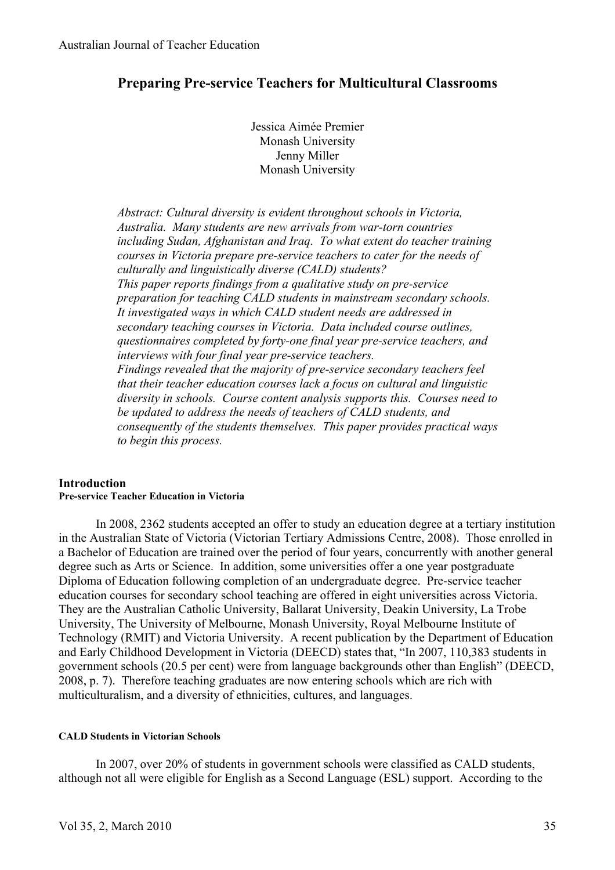# **Preparing Pre-service Teachers for Multicultural Classrooms**

Jessica Aimée Premier Monash University Jenny Miller Monash University

*Abstract: Cultural diversity is evident throughout schools in Victoria, Australia. Many students are new arrivals from war-torn countries including Sudan, Afghanistan and Iraq. To what extent do teacher training courses in Victoria prepare pre-service teachers to cater for the needs of culturally and linguistically diverse (CALD) students? This paper reports findings from a qualitative study on pre-service preparation for teaching CALD students in mainstream secondary schools. It investigated ways in which CALD student needs are addressed in secondary teaching courses in Victoria. Data included course outlines, questionnaires completed by forty-one final year pre-service teachers, and interviews with four final year pre-service teachers. Findings revealed that the majority of pre-service secondary teachers feel that their teacher education courses lack a focus on cultural and linguistic diversity in schools. Course content analysis supports this. Courses need to be updated to address the needs of teachers of CALD students, and consequently of the students themselves. This paper provides practical ways to begin this process.* 

### **Introduction Pre-service Teacher Education in Victoria**

In 2008, 2362 students accepted an offer to study an education degree at a tertiary institution in the Australian State of Victoria (Victorian Tertiary Admissions Centre, 2008). Those enrolled in a Bachelor of Education are trained over the period of four years, concurrently with another general degree such as Arts or Science. In addition, some universities offer a one year postgraduate Diploma of Education following completion of an undergraduate degree. Pre-service teacher education courses for secondary school teaching are offered in eight universities across Victoria. They are the Australian Catholic University, Ballarat University, Deakin University, La Trobe University, The University of Melbourne, Monash University, Royal Melbourne Institute of Technology (RMIT) and Victoria University. A recent publication by the Department of Education and Early Childhood Development in Victoria (DEECD) states that, "In 2007, 110,383 students in government schools (20.5 per cent) were from language backgrounds other than English" (DEECD, 2008, p. 7). Therefore teaching graduates are now entering schools which are rich with multiculturalism, and a diversity of ethnicities, cultures, and languages.

#### **CALD Students in Victorian Schools**

In 2007, over 20% of students in government schools were classified as CALD students, although not all were eligible for English as a Second Language (ESL) support. According to the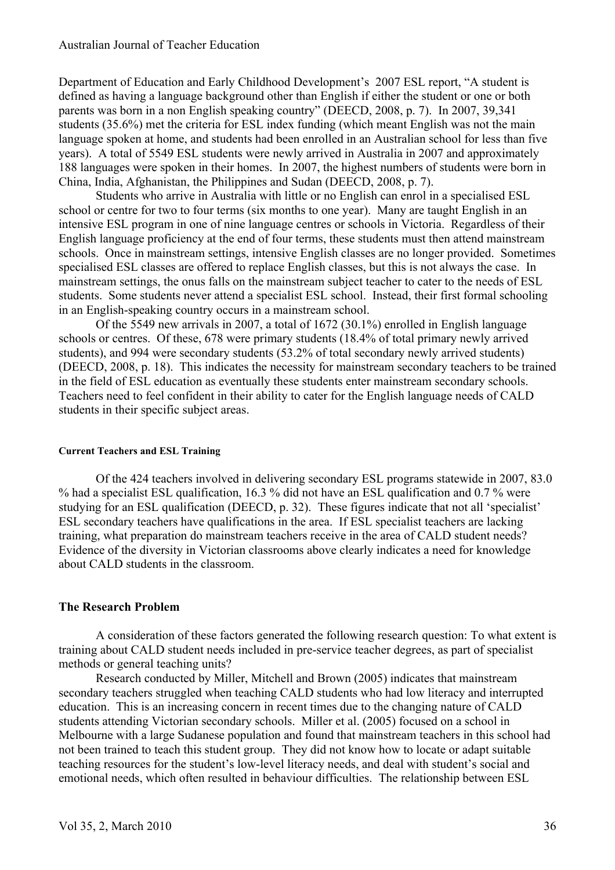Department of Education and Early Childhood Development's 2007 ESL report, "A student is defined as having a language background other than English if either the student or one or both parents was born in a non English speaking country" (DEECD, 2008, p. 7). In 2007, 39,341 students (35.6%) met the criteria for ESL index funding (which meant English was not the main language spoken at home, and students had been enrolled in an Australian school for less than five years). A total of 5549 ESL students were newly arrived in Australia in 2007 and approximately 188 languages were spoken in their homes. In 2007, the highest numbers of students were born in China, India, Afghanistan, the Philippines and Sudan (DEECD, 2008, p. 7).

Students who arrive in Australia with little or no English can enrol in a specialised ESL school or centre for two to four terms (six months to one year). Many are taught English in an intensive ESL program in one of nine language centres or schools in Victoria. Regardless of their English language proficiency at the end of four terms, these students must then attend mainstream schools. Once in mainstream settings, intensive English classes are no longer provided. Sometimes specialised ESL classes are offered to replace English classes, but this is not always the case. In mainstream settings, the onus falls on the mainstream subject teacher to cater to the needs of ESL students. Some students never attend a specialist ESL school. Instead, their first formal schooling in an English-speaking country occurs in a mainstream school.

Of the 5549 new arrivals in 2007, a total of 1672 (30.1%) enrolled in English language schools or centres. Of these, 678 were primary students (18.4% of total primary newly arrived students), and 994 were secondary students (53.2% of total secondary newly arrived students) (DEECD, 2008, p. 18). This indicates the necessity for mainstream secondary teachers to be trained in the field of ESL education as eventually these students enter mainstream secondary schools. Teachers need to feel confident in their ability to cater for the English language needs of CALD students in their specific subject areas.

#### **Current Teachers and ESL Training**

Of the 424 teachers involved in delivering secondary ESL programs statewide in 2007, 83.0 % had a specialist ESL qualification, 16.3 % did not have an ESL qualification and 0.7 % were studying for an ESL qualification (DEECD, p. 32). These figures indicate that not all 'specialist' ESL secondary teachers have qualifications in the area. If ESL specialist teachers are lacking training, what preparation do mainstream teachers receive in the area of CALD student needs? Evidence of the diversity in Victorian classrooms above clearly indicates a need for knowledge about CALD students in the classroom.

### **The Research Problem**

A consideration of these factors generated the following research question: To what extent is training about CALD student needs included in pre-service teacher degrees, as part of specialist methods or general teaching units?

Research conducted by Miller, Mitchell and Brown (2005) indicates that mainstream secondary teachers struggled when teaching CALD students who had low literacy and interrupted education. This is an increasing concern in recent times due to the changing nature of CALD students attending Victorian secondary schools. Miller et al. (2005) focused on a school in Melbourne with a large Sudanese population and found that mainstream teachers in this school had not been trained to teach this student group. They did not know how to locate or adapt suitable teaching resources for the student's low-level literacy needs, and deal with student's social and emotional needs, which often resulted in behaviour difficulties. The relationship between ESL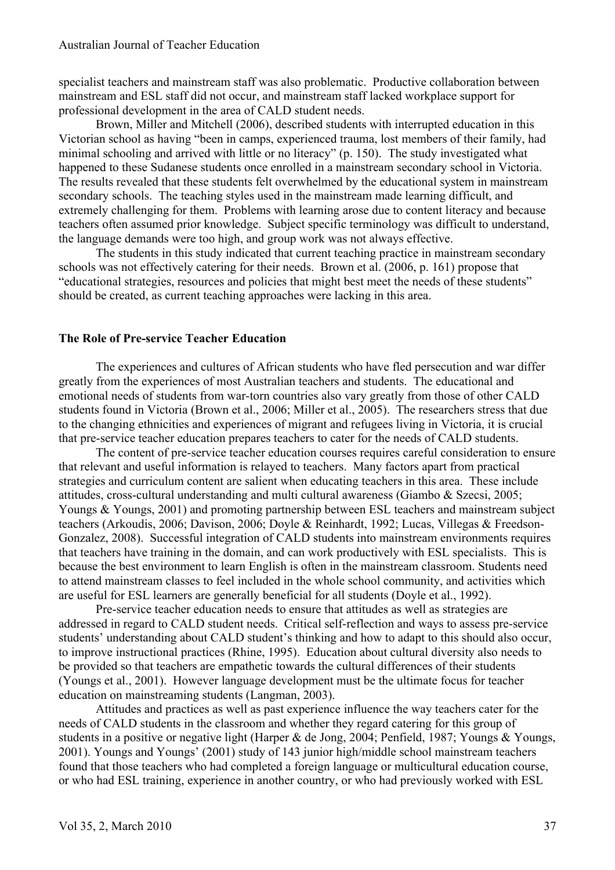specialist teachers and mainstream staff was also problematic. Productive collaboration between mainstream and ESL staff did not occur, and mainstream staff lacked workplace support for professional development in the area of CALD student needs.

Brown, Miller and Mitchell (2006), described students with interrupted education in this Victorian school as having "been in camps, experienced trauma, lost members of their family, had minimal schooling and arrived with little or no literacy" (p. 150). The study investigated what happened to these Sudanese students once enrolled in a mainstream secondary school in Victoria. The results revealed that these students felt overwhelmed by the educational system in mainstream secondary schools. The teaching styles used in the mainstream made learning difficult, and extremely challenging for them. Problems with learning arose due to content literacy and because teachers often assumed prior knowledge. Subject specific terminology was difficult to understand, the language demands were too high, and group work was not always effective.

The students in this study indicated that current teaching practice in mainstream secondary schools was not effectively catering for their needs. Brown et al. (2006, p. 161) propose that "educational strategies, resources and policies that might best meet the needs of these students" should be created, as current teaching approaches were lacking in this area.

# **The Role of Pre-service Teacher Education**

The experiences and cultures of African students who have fled persecution and war differ greatly from the experiences of most Australian teachers and students. The educational and emotional needs of students from war-torn countries also vary greatly from those of other CALD students found in Victoria (Brown et al., 2006; Miller et al., 2005). The researchers stress that due to the changing ethnicities and experiences of migrant and refugees living in Victoria, it is crucial that pre-service teacher education prepares teachers to cater for the needs of CALD students.

The content of pre-service teacher education courses requires careful consideration to ensure that relevant and useful information is relayed to teachers. Many factors apart from practical strategies and curriculum content are salient when educating teachers in this area. These include attitudes, cross-cultural understanding and multi cultural awareness (Giambo & Szecsi, 2005; Youngs & Youngs, 2001) and promoting partnership between ESL teachers and mainstream subject teachers (Arkoudis, 2006; Davison, 2006; Doyle & Reinhardt, 1992; Lucas, Villegas & Freedson-Gonzalez, 2008). Successful integration of CALD students into mainstream environments requires that teachers have training in the domain, and can work productively with ESL specialists. This is because the best environment to learn English is often in the mainstream classroom. Students need to attend mainstream classes to feel included in the whole school community, and activities which are useful for ESL learners are generally beneficial for all students (Doyle et al., 1992).

Pre-service teacher education needs to ensure that attitudes as well as strategies are addressed in regard to CALD student needs. Critical self-reflection and ways to assess pre-service students' understanding about CALD student's thinking and how to adapt to this should also occur, to improve instructional practices (Rhine, 1995). Education about cultural diversity also needs to be provided so that teachers are empathetic towards the cultural differences of their students (Youngs et al., 2001). However language development must be the ultimate focus for teacher education on mainstreaming students (Langman, 2003).

Attitudes and practices as well as past experience influence the way teachers cater for the needs of CALD students in the classroom and whether they regard catering for this group of students in a positive or negative light (Harper & de Jong, 2004; Penfield, 1987; Youngs & Youngs, 2001). Youngs and Youngs' (2001) study of 143 junior high/middle school mainstream teachers found that those teachers who had completed a foreign language or multicultural education course, or who had ESL training, experience in another country, or who had previously worked with ESL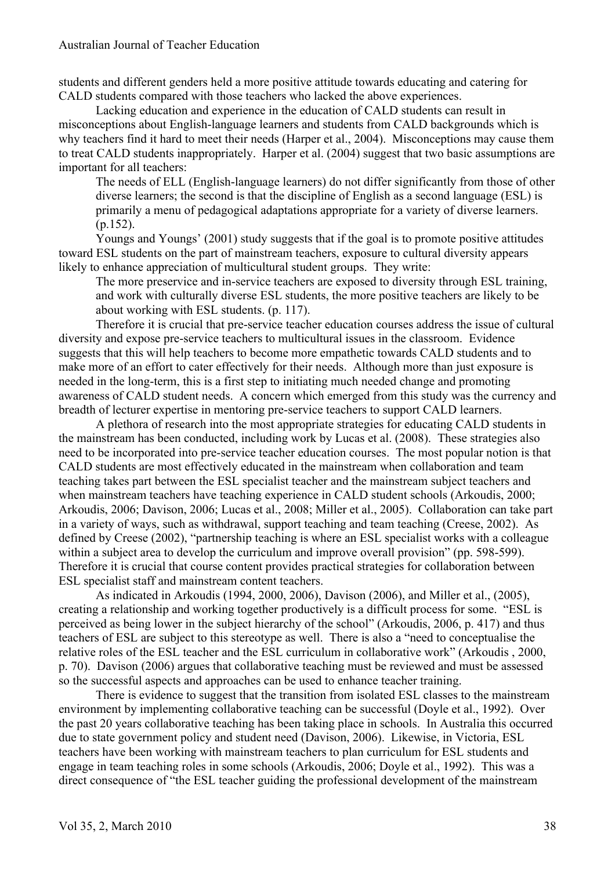students and different genders held a more positive attitude towards educating and catering for CALD students compared with those teachers who lacked the above experiences.

Lacking education and experience in the education of CALD students can result in misconceptions about English-language learners and students from CALD backgrounds which is why teachers find it hard to meet their needs (Harper et al., 2004). Misconceptions may cause them to treat CALD students inappropriately. Harper et al. (2004) suggest that two basic assumptions are important for all teachers:

The needs of ELL (English-language learners) do not differ significantly from those of other diverse learners; the second is that the discipline of English as a second language (ESL) is primarily a menu of pedagogical adaptations appropriate for a variety of diverse learners.  $(p.152)$ .

Youngs and Youngs' (2001) study suggests that if the goal is to promote positive attitudes toward ESL students on the part of mainstream teachers, exposure to cultural diversity appears likely to enhance appreciation of multicultural student groups. They write:

The more preservice and in-service teachers are exposed to diversity through ESL training, and work with culturally diverse ESL students, the more positive teachers are likely to be about working with ESL students. (p. 117).

Therefore it is crucial that pre-service teacher education courses address the issue of cultural diversity and expose pre-service teachers to multicultural issues in the classroom. Evidence suggests that this will help teachers to become more empathetic towards CALD students and to make more of an effort to cater effectively for their needs. Although more than just exposure is needed in the long-term, this is a first step to initiating much needed change and promoting awareness of CALD student needs. A concern which emerged from this study was the currency and breadth of lecturer expertise in mentoring pre-service teachers to support CALD learners.

A plethora of research into the most appropriate strategies for educating CALD students in the mainstream has been conducted, including work by Lucas et al. (2008). These strategies also need to be incorporated into pre-service teacher education courses. The most popular notion is that CALD students are most effectively educated in the mainstream when collaboration and team teaching takes part between the ESL specialist teacher and the mainstream subject teachers and when mainstream teachers have teaching experience in CALD student schools (Arkoudis, 2000; Arkoudis, 2006; Davison, 2006; Lucas et al., 2008; Miller et al., 2005). Collaboration can take part in a variety of ways, such as withdrawal, support teaching and team teaching (Creese, 2002). As defined by Creese (2002), "partnership teaching is where an ESL specialist works with a colleague within a subject area to develop the curriculum and improve overall provision" (pp. 598-599). Therefore it is crucial that course content provides practical strategies for collaboration between ESL specialist staff and mainstream content teachers.

As indicated in Arkoudis (1994, 2000, 2006), Davison (2006), and Miller et al., (2005), creating a relationship and working together productively is a difficult process for some. "ESL is perceived as being lower in the subject hierarchy of the school" (Arkoudis, 2006, p. 417) and thus teachers of ESL are subject to this stereotype as well. There is also a "need to conceptualise the relative roles of the ESL teacher and the ESL curriculum in collaborative work" (Arkoudis , 2000, p. 70). Davison (2006) argues that collaborative teaching must be reviewed and must be assessed so the successful aspects and approaches can be used to enhance teacher training.

There is evidence to suggest that the transition from isolated ESL classes to the mainstream environment by implementing collaborative teaching can be successful (Doyle et al., 1992). Over the past 20 years collaborative teaching has been taking place in schools. In Australia this occurred due to state government policy and student need (Davison, 2006). Likewise, in Victoria, ESL teachers have been working with mainstream teachers to plan curriculum for ESL students and engage in team teaching roles in some schools (Arkoudis, 2006; Doyle et al., 1992). This was a direct consequence of "the ESL teacher guiding the professional development of the mainstream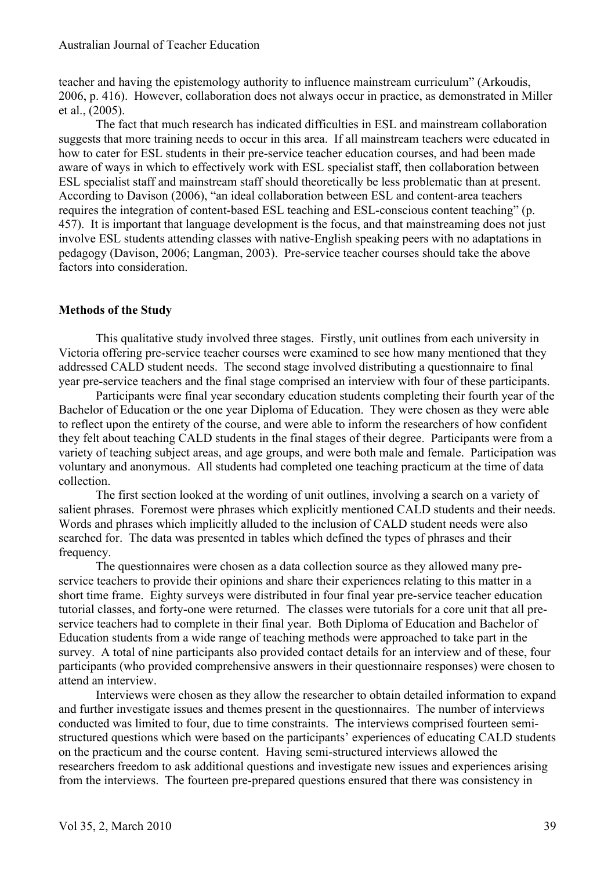teacher and having the epistemology authority to influence mainstream curriculum" (Arkoudis, 2006, p. 416). However, collaboration does not always occur in practice, as demonstrated in Miller et al., (2005).

The fact that much research has indicated difficulties in ESL and mainstream collaboration suggests that more training needs to occur in this area. If all mainstream teachers were educated in how to cater for ESL students in their pre-service teacher education courses, and had been made aware of ways in which to effectively work with ESL specialist staff, then collaboration between ESL specialist staff and mainstream staff should theoretically be less problematic than at present. According to Davison (2006), "an ideal collaboration between ESL and content-area teachers requires the integration of content-based ESL teaching and ESL-conscious content teaching" (p. 457). It is important that language development is the focus, and that mainstreaming does not just involve ESL students attending classes with native-English speaking peers with no adaptations in pedagogy (Davison, 2006; Langman, 2003). Pre-service teacher courses should take the above factors into consideration.

# **Methods of the Study**

This qualitative study involved three stages. Firstly, unit outlines from each university in Victoria offering pre-service teacher courses were examined to see how many mentioned that they addressed CALD student needs. The second stage involved distributing a questionnaire to final year pre-service teachers and the final stage comprised an interview with four of these participants.

Participants were final year secondary education students completing their fourth year of the Bachelor of Education or the one year Diploma of Education. They were chosen as they were able to reflect upon the entirety of the course, and were able to inform the researchers of how confident they felt about teaching CALD students in the final stages of their degree. Participants were from a variety of teaching subject areas, and age groups, and were both male and female. Participation was voluntary and anonymous. All students had completed one teaching practicum at the time of data collection.

The first section looked at the wording of unit outlines, involving a search on a variety of salient phrases. Foremost were phrases which explicitly mentioned CALD students and their needs. Words and phrases which implicitly alluded to the inclusion of CALD student needs were also searched for. The data was presented in tables which defined the types of phrases and their frequency.

The questionnaires were chosen as a data collection source as they allowed many preservice teachers to provide their opinions and share their experiences relating to this matter in a short time frame. Eighty surveys were distributed in four final year pre-service teacher education tutorial classes, and forty-one were returned. The classes were tutorials for a core unit that all preservice teachers had to complete in their final year. Both Diploma of Education and Bachelor of Education students from a wide range of teaching methods were approached to take part in the survey. A total of nine participants also provided contact details for an interview and of these, four participants (who provided comprehensive answers in their questionnaire responses) were chosen to attend an interview.

Interviews were chosen as they allow the researcher to obtain detailed information to expand and further investigate issues and themes present in the questionnaires. The number of interviews conducted was limited to four, due to time constraints. The interviews comprised fourteen semistructured questions which were based on the participants' experiences of educating CALD students on the practicum and the course content. Having semi-structured interviews allowed the researchers freedom to ask additional questions and investigate new issues and experiences arising from the interviews. The fourteen pre-prepared questions ensured that there was consistency in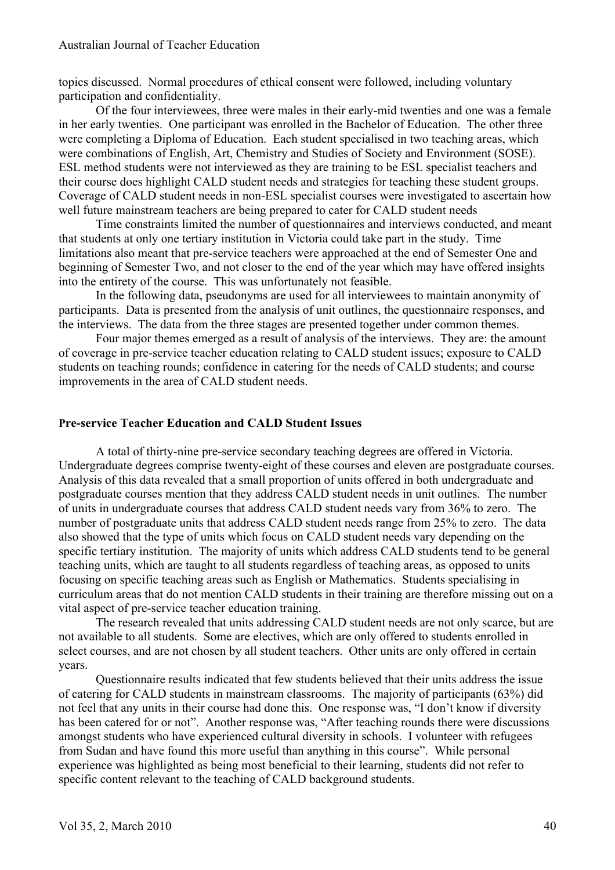topics discussed. Normal procedures of ethical consent were followed, including voluntary participation and confidentiality.

Of the four interviewees, three were males in their early-mid twenties and one was a female in her early twenties. One participant was enrolled in the Bachelor of Education. The other three were completing a Diploma of Education. Each student specialised in two teaching areas, which were combinations of English, Art, Chemistry and Studies of Society and Environment (SOSE). ESL method students were not interviewed as they are training to be ESL specialist teachers and their course does highlight CALD student needs and strategies for teaching these student groups. Coverage of CALD student needs in non-ESL specialist courses were investigated to ascertain how well future mainstream teachers are being prepared to cater for CALD student needs

Time constraints limited the number of questionnaires and interviews conducted, and meant that students at only one tertiary institution in Victoria could take part in the study. Time limitations also meant that pre-service teachers were approached at the end of Semester One and beginning of Semester Two, and not closer to the end of the year which may have offered insights into the entirety of the course. This was unfortunately not feasible.

In the following data, pseudonyms are used for all interviewees to maintain anonymity of participants. Data is presented from the analysis of unit outlines, the questionnaire responses, and the interviews. The data from the three stages are presented together under common themes.

Four major themes emerged as a result of analysis of the interviews. They are: the amount of coverage in pre-service teacher education relating to CALD student issues; exposure to CALD students on teaching rounds; confidence in catering for the needs of CALD students; and course improvements in the area of CALD student needs.

# **Pre-service Teacher Education and CALD Student Issues**

A total of thirty-nine pre-service secondary teaching degrees are offered in Victoria. Undergraduate degrees comprise twenty-eight of these courses and eleven are postgraduate courses. Analysis of this data revealed that a small proportion of units offered in both undergraduate and postgraduate courses mention that they address CALD student needs in unit outlines. The number of units in undergraduate courses that address CALD student needs vary from 36% to zero. The number of postgraduate units that address CALD student needs range from 25% to zero. The data also showed that the type of units which focus on CALD student needs vary depending on the specific tertiary institution. The majority of units which address CALD students tend to be general teaching units, which are taught to all students regardless of teaching areas, as opposed to units focusing on specific teaching areas such as English or Mathematics. Students specialising in curriculum areas that do not mention CALD students in their training are therefore missing out on a vital aspect of pre-service teacher education training.

The research revealed that units addressing CALD student needs are not only scarce, but are not available to all students. Some are electives, which are only offered to students enrolled in select courses, and are not chosen by all student teachers. Other units are only offered in certain years.

Questionnaire results indicated that few students believed that their units address the issue of catering for CALD students in mainstream classrooms. The majority of participants (63%) did not feel that any units in their course had done this. One response was, "I don't know if diversity has been catered for or not". Another response was, "After teaching rounds there were discussions amongst students who have experienced cultural diversity in schools. I volunteer with refugees from Sudan and have found this more useful than anything in this course". While personal experience was highlighted as being most beneficial to their learning, students did not refer to specific content relevant to the teaching of CALD background students.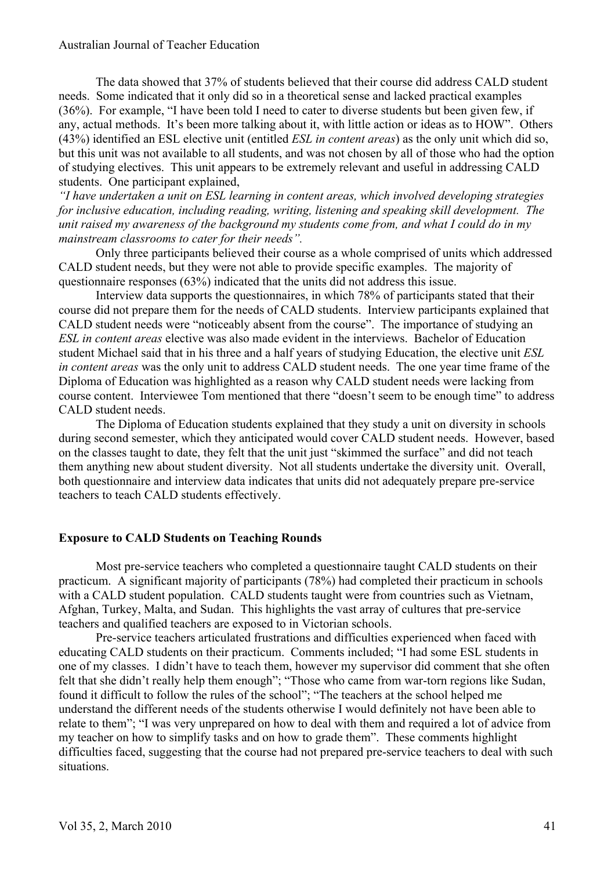The data showed that 37% of students believed that their course did address CALD student needs. Some indicated that it only did so in a theoretical sense and lacked practical examples (36%). For example, "I have been told I need to cater to diverse students but been given few, if any, actual methods. It's been more talking about it, with little action or ideas as to HOW". Others (43%) identified an ESL elective unit (entitled *ESL in content areas*) as the only unit which did so, but this unit was not available to all students, and was not chosen by all of those who had the option of studying electives. This unit appears to be extremely relevant and useful in addressing CALD students. One participant explained,

*"I have undertaken a unit on ESL learning in content areas, which involved developing strategies for inclusive education, including reading, writing, listening and speaking skill development. The unit raised my awareness of the background my students come from, and what I could do in my mainstream classrooms to cater for their needs".*

Only three participants believed their course as a whole comprised of units which addressed CALD student needs, but they were not able to provide specific examples. The majority of questionnaire responses (63%) indicated that the units did not address this issue.

Interview data supports the questionnaires, in which 78% of participants stated that their course did not prepare them for the needs of CALD students. Interview participants explained that CALD student needs were "noticeably absent from the course". The importance of studying an *ESL in content areas* elective was also made evident in the interviews. Bachelor of Education student Michael said that in his three and a half years of studying Education, the elective unit *ESL in content areas* was the only unit to address CALD student needs. The one year time frame of the Diploma of Education was highlighted as a reason why CALD student needs were lacking from course content. Interviewee Tom mentioned that there "doesn't seem to be enough time" to address CALD student needs.

The Diploma of Education students explained that they study a unit on diversity in schools during second semester, which they anticipated would cover CALD student needs. However, based on the classes taught to date, they felt that the unit just "skimmed the surface" and did not teach them anything new about student diversity. Not all students undertake the diversity unit. Overall, both questionnaire and interview data indicates that units did not adequately prepare pre-service teachers to teach CALD students effectively.

# **Exposure to CALD Students on Teaching Rounds**

Most pre-service teachers who completed a questionnaire taught CALD students on their practicum. A significant majority of participants (78%) had completed their practicum in schools with a CALD student population. CALD students taught were from countries such as Vietnam, Afghan, Turkey, Malta, and Sudan. This highlights the vast array of cultures that pre-service teachers and qualified teachers are exposed to in Victorian schools.

Pre-service teachers articulated frustrations and difficulties experienced when faced with educating CALD students on their practicum. Comments included; "I had some ESL students in one of my classes. I didn't have to teach them, however my supervisor did comment that she often felt that she didn't really help them enough"; "Those who came from war-torn regions like Sudan, found it difficult to follow the rules of the school"; "The teachers at the school helped me understand the different needs of the students otherwise I would definitely not have been able to relate to them"; "I was very unprepared on how to deal with them and required a lot of advice from my teacher on how to simplify tasks and on how to grade them". These comments highlight difficulties faced, suggesting that the course had not prepared pre-service teachers to deal with such situations.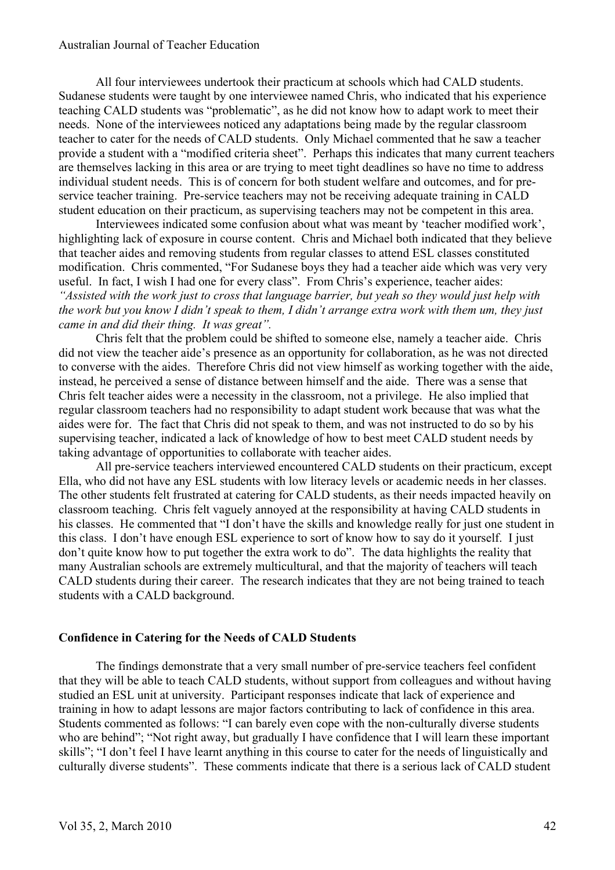All four interviewees undertook their practicum at schools which had CALD students. Sudanese students were taught by one interviewee named Chris, who indicated that his experience teaching CALD students was "problematic", as he did not know how to adapt work to meet their needs. None of the interviewees noticed any adaptations being made by the regular classroom teacher to cater for the needs of CALD students. Only Michael commented that he saw a teacher provide a student with a "modified criteria sheet". Perhaps this indicates that many current teachers are themselves lacking in this area or are trying to meet tight deadlines so have no time to address individual student needs. This is of concern for both student welfare and outcomes, and for preservice teacher training. Pre-service teachers may not be receiving adequate training in CALD student education on their practicum, as supervising teachers may not be competent in this area.

Interviewees indicated some confusion about what was meant by 'teacher modified work', highlighting lack of exposure in course content. Chris and Michael both indicated that they believe that teacher aides and removing students from regular classes to attend ESL classes constituted modification. Chris commented, "For Sudanese boys they had a teacher aide which was very very useful. In fact, I wish I had one for every class". From Chris's experience, teacher aides: *"Assisted with the work just to cross that language barrier, but yeah so they would just help with the work but you know I didn't speak to them, I didn't arrange extra work with them um, they just came in and did their thing. It was great".*

Chris felt that the problem could be shifted to someone else, namely a teacher aide. Chris did not view the teacher aide's presence as an opportunity for collaboration, as he was not directed to converse with the aides. Therefore Chris did not view himself as working together with the aide, instead, he perceived a sense of distance between himself and the aide. There was a sense that Chris felt teacher aides were a necessity in the classroom, not a privilege. He also implied that regular classroom teachers had no responsibility to adapt student work because that was what the aides were for. The fact that Chris did not speak to them, and was not instructed to do so by his supervising teacher, indicated a lack of knowledge of how to best meet CALD student needs by taking advantage of opportunities to collaborate with teacher aides.

All pre-service teachers interviewed encountered CALD students on their practicum, except Ella, who did not have any ESL students with low literacy levels or academic needs in her classes. The other students felt frustrated at catering for CALD students, as their needs impacted heavily on classroom teaching. Chris felt vaguely annoyed at the responsibility at having CALD students in his classes. He commented that "I don't have the skills and knowledge really for just one student in this class. I don't have enough ESL experience to sort of know how to say do it yourself. I just don't quite know how to put together the extra work to do". The data highlights the reality that many Australian schools are extremely multicultural, and that the majority of teachers will teach CALD students during their career. The research indicates that they are not being trained to teach students with a CALD background.

# **Confidence in Catering for the Needs of CALD Students**

The findings demonstrate that a very small number of pre-service teachers feel confident that they will be able to teach CALD students, without support from colleagues and without having studied an ESL unit at university. Participant responses indicate that lack of experience and training in how to adapt lessons are major factors contributing to lack of confidence in this area. Students commented as follows: "I can barely even cope with the non-culturally diverse students who are behind"; "Not right away, but gradually I have confidence that I will learn these important skills"; "I don't feel I have learnt anything in this course to cater for the needs of linguistically and culturally diverse students". These comments indicate that there is a serious lack of CALD student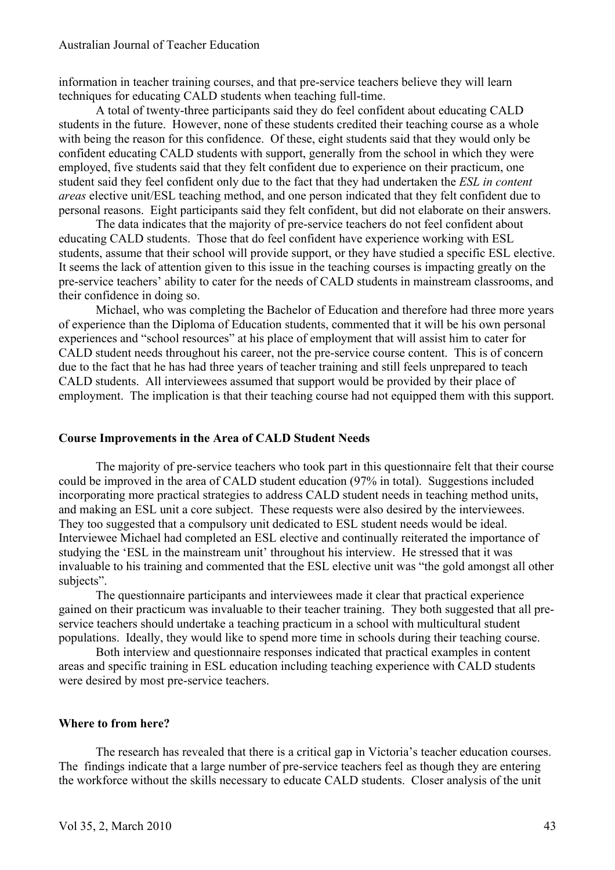information in teacher training courses, and that pre-service teachers believe they will learn techniques for educating CALD students when teaching full-time.

A total of twenty-three participants said they do feel confident about educating CALD students in the future. However, none of these students credited their teaching course as a whole with being the reason for this confidence. Of these, eight students said that they would only be confident educating CALD students with support, generally from the school in which they were employed, five students said that they felt confident due to experience on their practicum, one student said they feel confident only due to the fact that they had undertaken the *ESL in content areas* elective unit/ESL teaching method, and one person indicated that they felt confident due to personal reasons. Eight participants said they felt confident, but did not elaborate on their answers.

The data indicates that the majority of pre-service teachers do not feel confident about educating CALD students. Those that do feel confident have experience working with ESL students, assume that their school will provide support, or they have studied a specific ESL elective. It seems the lack of attention given to this issue in the teaching courses is impacting greatly on the pre-service teachers' ability to cater for the needs of CALD students in mainstream classrooms, and their confidence in doing so.

Michael, who was completing the Bachelor of Education and therefore had three more years of experience than the Diploma of Education students, commented that it will be his own personal experiences and "school resources" at his place of employment that will assist him to cater for CALD student needs throughout his career, not the pre-service course content. This is of concern due to the fact that he has had three years of teacher training and still feels unprepared to teach CALD students. All interviewees assumed that support would be provided by their place of employment. The implication is that their teaching course had not equipped them with this support.

## **Course Improvements in the Area of CALD Student Needs**

The majority of pre-service teachers who took part in this questionnaire felt that their course could be improved in the area of CALD student education (97% in total). Suggestions included incorporating more practical strategies to address CALD student needs in teaching method units, and making an ESL unit a core subject. These requests were also desired by the interviewees. They too suggested that a compulsory unit dedicated to ESL student needs would be ideal. Interviewee Michael had completed an ESL elective and continually reiterated the importance of studying the 'ESL in the mainstream unit' throughout his interview. He stressed that it was invaluable to his training and commented that the ESL elective unit was "the gold amongst all other subjects".

The questionnaire participants and interviewees made it clear that practical experience gained on their practicum was invaluable to their teacher training. They both suggested that all preservice teachers should undertake a teaching practicum in a school with multicultural student populations. Ideally, they would like to spend more time in schools during their teaching course.

Both interview and questionnaire responses indicated that practical examples in content areas and specific training in ESL education including teaching experience with CALD students were desired by most pre-service teachers.

## **Where to from here?**

The research has revealed that there is a critical gap in Victoria's teacher education courses. The findings indicate that a large number of pre-service teachers feel as though they are entering the workforce without the skills necessary to educate CALD students. Closer analysis of the unit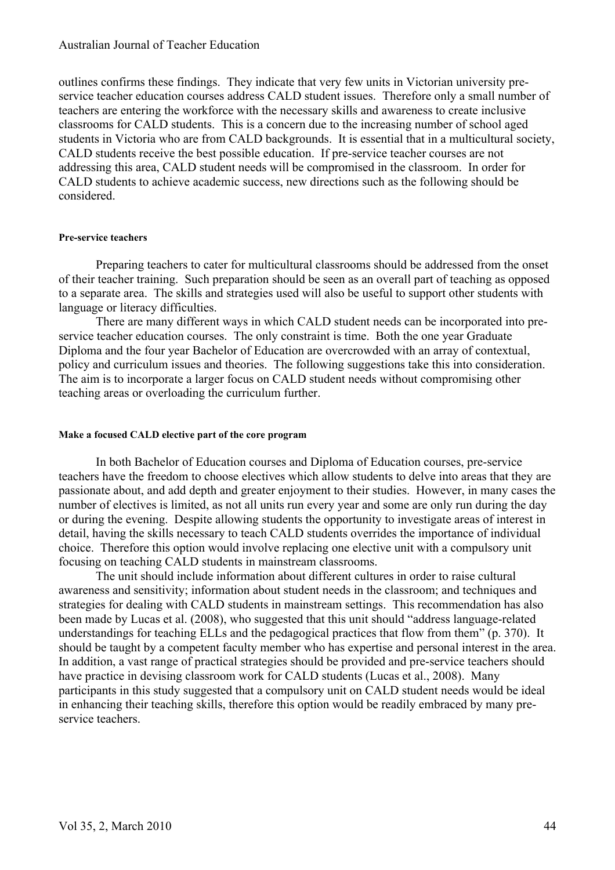outlines confirms these findings. They indicate that very few units in Victorian university preservice teacher education courses address CALD student issues. Therefore only a small number of teachers are entering the workforce with the necessary skills and awareness to create inclusive classrooms for CALD students. This is a concern due to the increasing number of school aged students in Victoria who are from CALD backgrounds. It is essential that in a multicultural society, CALD students receive the best possible education. If pre-service teacher courses are not addressing this area, CALD student needs will be compromised in the classroom. In order for CALD students to achieve academic success, new directions such as the following should be considered.

#### **Pre-service teachers**

Preparing teachers to cater for multicultural classrooms should be addressed from the onset of their teacher training. Such preparation should be seen as an overall part of teaching as opposed to a separate area. The skills and strategies used will also be useful to support other students with language or literacy difficulties.

There are many different ways in which CALD student needs can be incorporated into preservice teacher education courses. The only constraint is time. Both the one year Graduate Diploma and the four year Bachelor of Education are overcrowded with an array of contextual, policy and curriculum issues and theories. The following suggestions take this into consideration. The aim is to incorporate a larger focus on CALD student needs without compromising other teaching areas or overloading the curriculum further.

## **Make a focused CALD elective part of the core program**

In both Bachelor of Education courses and Diploma of Education courses, pre-service teachers have the freedom to choose electives which allow students to delve into areas that they are passionate about, and add depth and greater enjoyment to their studies. However, in many cases the number of electives is limited, as not all units run every year and some are only run during the day or during the evening. Despite allowing students the opportunity to investigate areas of interest in detail, having the skills necessary to teach CALD students overrides the importance of individual choice. Therefore this option would involve replacing one elective unit with a compulsory unit focusing on teaching CALD students in mainstream classrooms.

The unit should include information about different cultures in order to raise cultural awareness and sensitivity; information about student needs in the classroom; and techniques and strategies for dealing with CALD students in mainstream settings. This recommendation has also been made by Lucas et al. (2008), who suggested that this unit should "address language-related understandings for teaching ELLs and the pedagogical practices that flow from them" (p. 370). It should be taught by a competent faculty member who has expertise and personal interest in the area. In addition, a vast range of practical strategies should be provided and pre-service teachers should have practice in devising classroom work for CALD students (Lucas et al., 2008). Many participants in this study suggested that a compulsory unit on CALD student needs would be ideal in enhancing their teaching skills, therefore this option would be readily embraced by many preservice teachers.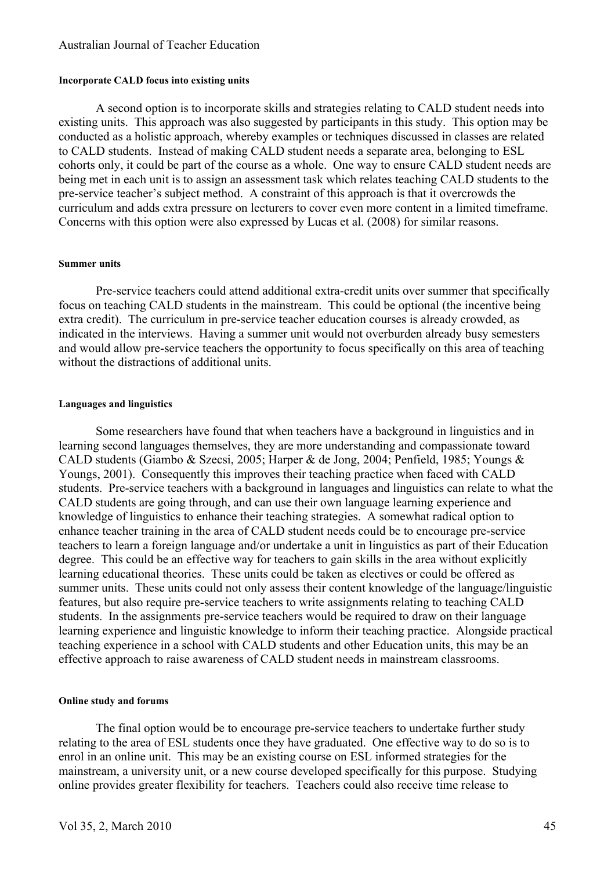#### **Incorporate CALD focus into existing units**

A second option is to incorporate skills and strategies relating to CALD student needs into existing units. This approach was also suggested by participants in this study. This option may be conducted as a holistic approach, whereby examples or techniques discussed in classes are related to CALD students. Instead of making CALD student needs a separate area, belonging to ESL cohorts only, it could be part of the course as a whole. One way to ensure CALD student needs are being met in each unit is to assign an assessment task which relates teaching CALD students to the pre-service teacher's subject method. A constraint of this approach is that it overcrowds the curriculum and adds extra pressure on lecturers to cover even more content in a limited timeframe. Concerns with this option were also expressed by Lucas et al. (2008) for similar reasons.

#### **Summer units**

Pre-service teachers could attend additional extra-credit units over summer that specifically focus on teaching CALD students in the mainstream. This could be optional (the incentive being extra credit). The curriculum in pre-service teacher education courses is already crowded, as indicated in the interviews. Having a summer unit would not overburden already busy semesters and would allow pre-service teachers the opportunity to focus specifically on this area of teaching without the distractions of additional units.

#### **Languages and linguistics**

Some researchers have found that when teachers have a background in linguistics and in learning second languages themselves, they are more understanding and compassionate toward CALD students (Giambo & Szecsi, 2005; Harper & de Jong, 2004; Penfield, 1985; Youngs & Youngs, 2001). Consequently this improves their teaching practice when faced with CALD students. Pre-service teachers with a background in languages and linguistics can relate to what the CALD students are going through, and can use their own language learning experience and knowledge of linguistics to enhance their teaching strategies. A somewhat radical option to enhance teacher training in the area of CALD student needs could be to encourage pre-service teachers to learn a foreign language and/or undertake a unit in linguistics as part of their Education degree. This could be an effective way for teachers to gain skills in the area without explicitly learning educational theories. These units could be taken as electives or could be offered as summer units. These units could not only assess their content knowledge of the language/linguistic features, but also require pre-service teachers to write assignments relating to teaching CALD students. In the assignments pre-service teachers would be required to draw on their language learning experience and linguistic knowledge to inform their teaching practice. Alongside practical teaching experience in a school with CALD students and other Education units, this may be an effective approach to raise awareness of CALD student needs in mainstream classrooms.

#### **Online study and forums**

The final option would be to encourage pre-service teachers to undertake further study relating to the area of ESL students once they have graduated. One effective way to do so is to enrol in an online unit. This may be an existing course on ESL informed strategies for the mainstream, a university unit, or a new course developed specifically for this purpose. Studying online provides greater flexibility for teachers. Teachers could also receive time release to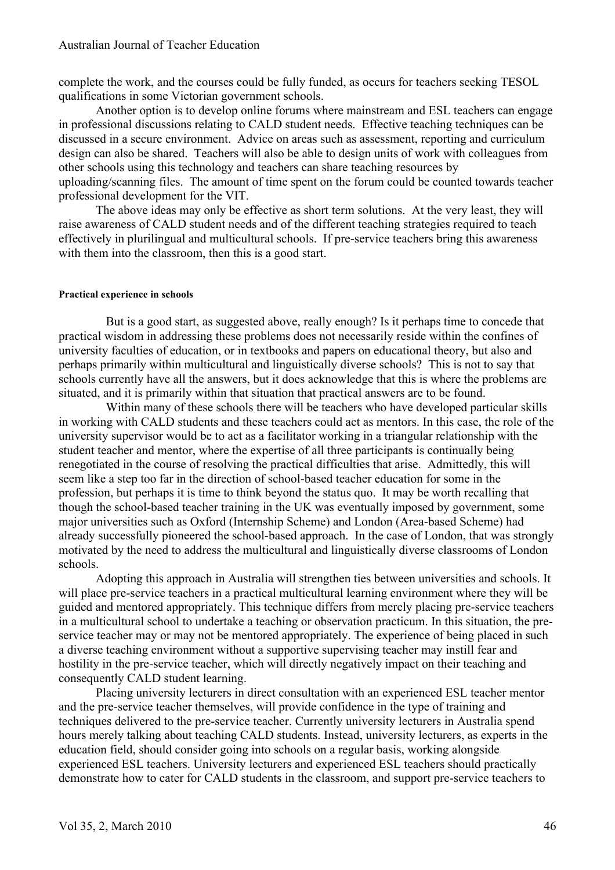complete the work, and the courses could be fully funded, as occurs for teachers seeking TESOL qualifications in some Victorian government schools.

Another option is to develop online forums where mainstream and ESL teachers can engage in professional discussions relating to CALD student needs. Effective teaching techniques can be discussed in a secure environment. Advice on areas such as assessment, reporting and curriculum design can also be shared. Teachers will also be able to design units of work with colleagues from other schools using this technology and teachers can share teaching resources by uploading/scanning files. The amount of time spent on the forum could be counted towards teacher professional development for the VIT.

The above ideas may only be effective as short term solutions. At the very least, they will raise awareness of CALD student needs and of the different teaching strategies required to teach effectively in plurilingual and multicultural schools. If pre-service teachers bring this awareness with them into the classroom, then this is a good start.

#### **Practical experience in schools**

But is a good start, as suggested above, really enough? Is it perhaps time to concede that practical wisdom in addressing these problems does not necessarily reside within the confines of university faculties of education, or in textbooks and papers on educational theory, but also and perhaps primarily within multicultural and linguistically diverse schools? This is not to say that schools currently have all the answers, but it does acknowledge that this is where the problems are situated, and it is primarily within that situation that practical answers are to be found.

Within many of these schools there will be teachers who have developed particular skills in working with CALD students and these teachers could act as mentors. In this case, the role of the university supervisor would be to act as a facilitator working in a triangular relationship with the student teacher and mentor, where the expertise of all three participants is continually being renegotiated in the course of resolving the practical difficulties that arise. Admittedly, this will seem like a step too far in the direction of school-based teacher education for some in the profession, but perhaps it is time to think beyond the status quo. It may be worth recalling that though the school-based teacher training in the UK was eventually imposed by government, some major universities such as Oxford (Internship Scheme) and London (Area-based Scheme) had already successfully pioneered the school-based approach. In the case of London, that was strongly motivated by the need to address the multicultural and linguistically diverse classrooms of London schools.

Adopting this approach in Australia will strengthen ties between universities and schools. It will place pre-service teachers in a practical multicultural learning environment where they will be guided and mentored appropriately. This technique differs from merely placing pre-service teachers in a multicultural school to undertake a teaching or observation practicum. In this situation, the preservice teacher may or may not be mentored appropriately. The experience of being placed in such a diverse teaching environment without a supportive supervising teacher may instill fear and hostility in the pre-service teacher, which will directly negatively impact on their teaching and consequently CALD student learning.

Placing university lecturers in direct consultation with an experienced ESL teacher mentor and the pre-service teacher themselves, will provide confidence in the type of training and techniques delivered to the pre-service teacher. Currently university lecturers in Australia spend hours merely talking about teaching CALD students. Instead, university lecturers, as experts in the education field, should consider going into schools on a regular basis, working alongside experienced ESL teachers. University lecturers and experienced ESL teachers should practically demonstrate how to cater for CALD students in the classroom, and support pre-service teachers to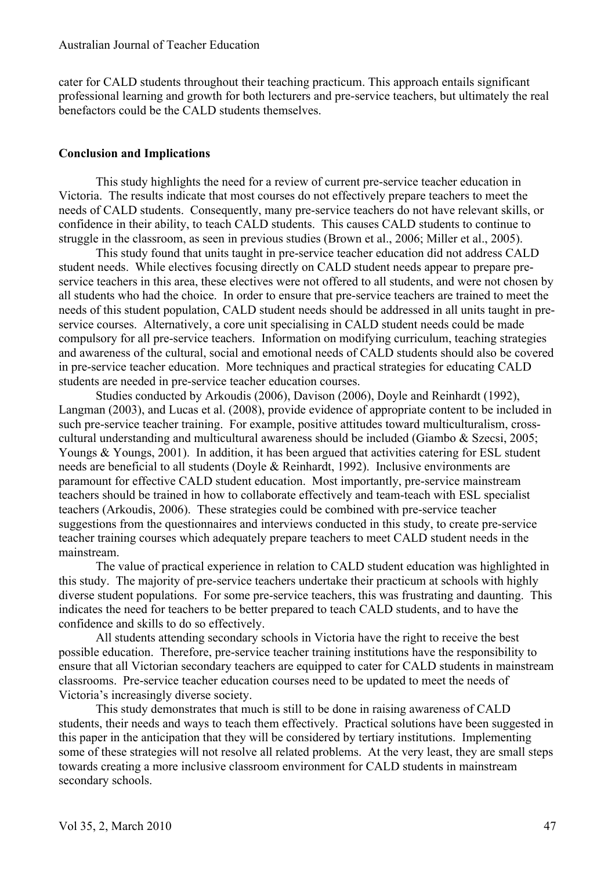cater for CALD students throughout their teaching practicum. This approach entails significant professional learning and growth for both lecturers and pre-service teachers, but ultimately the real benefactors could be the CALD students themselves.

# **Conclusion and Implications**

This study highlights the need for a review of current pre-service teacher education in Victoria. The results indicate that most courses do not effectively prepare teachers to meet the needs of CALD students. Consequently, many pre-service teachers do not have relevant skills, or confidence in their ability, to teach CALD students. This causes CALD students to continue to struggle in the classroom, as seen in previous studies (Brown et al., 2006; Miller et al., 2005).

This study found that units taught in pre-service teacher education did not address CALD student needs. While electives focusing directly on CALD student needs appear to prepare preservice teachers in this area, these electives were not offered to all students, and were not chosen by all students who had the choice. In order to ensure that pre-service teachers are trained to meet the needs of this student population, CALD student needs should be addressed in all units taught in preservice courses. Alternatively, a core unit specialising in CALD student needs could be made compulsory for all pre-service teachers. Information on modifying curriculum, teaching strategies and awareness of the cultural, social and emotional needs of CALD students should also be covered in pre-service teacher education. More techniques and practical strategies for educating CALD students are needed in pre-service teacher education courses.

Studies conducted by Arkoudis (2006), Davison (2006), Doyle and Reinhardt (1992), Langman (2003), and Lucas et al. (2008), provide evidence of appropriate content to be included in such pre-service teacher training. For example, positive attitudes toward multiculturalism, crosscultural understanding and multicultural awareness should be included (Giambo & Szecsi, 2005; Youngs & Youngs, 2001). In addition, it has been argued that activities catering for ESL student needs are beneficial to all students (Doyle & Reinhardt, 1992). Inclusive environments are paramount for effective CALD student education. Most importantly, pre-service mainstream teachers should be trained in how to collaborate effectively and team-teach with ESL specialist teachers (Arkoudis, 2006). These strategies could be combined with pre-service teacher suggestions from the questionnaires and interviews conducted in this study, to create pre-service teacher training courses which adequately prepare teachers to meet CALD student needs in the mainstream.

The value of practical experience in relation to CALD student education was highlighted in this study. The majority of pre-service teachers undertake their practicum at schools with highly diverse student populations. For some pre-service teachers, this was frustrating and daunting. This indicates the need for teachers to be better prepared to teach CALD students, and to have the confidence and skills to do so effectively.

All students attending secondary schools in Victoria have the right to receive the best possible education. Therefore, pre-service teacher training institutions have the responsibility to ensure that all Victorian secondary teachers are equipped to cater for CALD students in mainstream classrooms. Pre-service teacher education courses need to be updated to meet the needs of Victoria's increasingly diverse society.

This study demonstrates that much is still to be done in raising awareness of CALD students, their needs and ways to teach them effectively. Practical solutions have been suggested in this paper in the anticipation that they will be considered by tertiary institutions. Implementing some of these strategies will not resolve all related problems. At the very least, they are small steps towards creating a more inclusive classroom environment for CALD students in mainstream secondary schools.